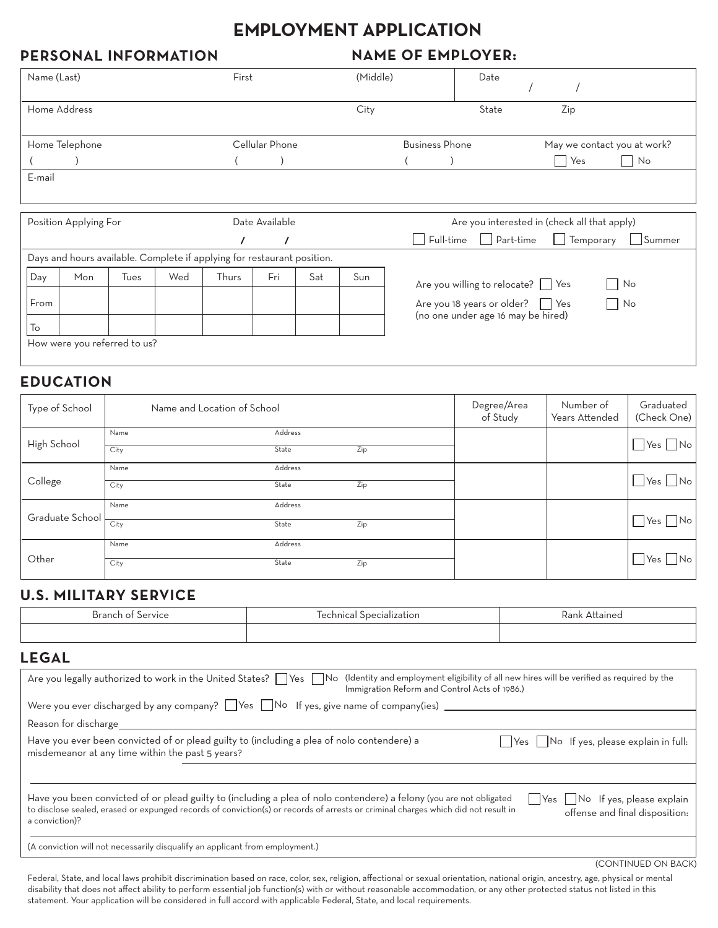# **EMPLOYMENT APPLICATION**

## **PERSONAL INFORMATION**

#### **NAME OF EMPLOYER:**

| Name (Last)                             |                                                                         |      |          | First |     |                                                  | (Middle)                                             |                                    | Date                                         |     |    |                      |
|-----------------------------------------|-------------------------------------------------------------------------|------|----------|-------|-----|--------------------------------------------------|------------------------------------------------------|------------------------------------|----------------------------------------------|-----|----|----------------------|
| Home Address                            |                                                                         |      |          |       |     | City                                             |                                                      | State                              |                                              | Zip |    |                      |
| Cellular Phone<br>Home Telephone        |                                                                         |      |          |       |     |                                                  | <b>Business Phone</b><br>May we contact you at work? |                                    |                                              |     |    |                      |
|                                         |                                                                         |      |          |       |     |                                                  |                                                      |                                    |                                              | Yes | No |                      |
| E-mail                                  |                                                                         |      |          |       |     |                                                  |                                                      |                                    |                                              |     |    |                      |
|                                         |                                                                         |      |          |       |     |                                                  |                                                      |                                    |                                              |     |    |                      |
| Date Available<br>Position Applying For |                                                                         |      |          |       |     | Are you interested in (check all that apply)     |                                                      |                                    |                                              |     |    |                      |
|                                         |                                                                         |      | $\prime$ |       |     | Full-time Part-time<br>Temporary<br>$\mathbf{L}$ |                                                      |                                    | Summer                                       |     |    |                      |
|                                         | Days and hours available. Complete if applying for restaurant position. |      |          |       |     |                                                  |                                                      |                                    |                                              |     |    |                      |
| Day                                     | Mon                                                                     | Tues | Wed      | Thurs | Fri | Sat                                              | Sun                                                  |                                    | Are you willing to relocate?   Yes           |     |    | No<br>$\blacksquare$ |
| From                                    |                                                                         |      |          |       |     |                                                  |                                                      |                                    | Are you 18 years or older? $\vert \vert$ Yes |     |    | $\blacksquare$<br>No |
| To                                      |                                                                         |      |          |       |     |                                                  |                                                      | (no one under age 16 may be hired) |                                              |     |    |                      |

How were you referred to us?

#### **EDUCATION**

| Type of School  | Name and Location of School |                  |     | Degree/Area<br>of Study | Number of<br>Years Attended | Graduated<br>(Check One)   |
|-----------------|-----------------------------|------------------|-----|-------------------------|-----------------------------|----------------------------|
| High School     | Name<br>City                | Address<br>State | Zip |                         |                             | $Yes$ No                   |
| College         | Name<br>City                | Address<br>State | Zip |                         |                             | $\Box$ Yes $\Box$ No       |
| Graduate School | Name                        | Address          |     |                         |                             |                            |
|                 | City<br>Name                | State<br>Address | Zip |                         |                             | $\bigcup$ Yes $\bigcap$ No |
| Other           | City                        | State            | Zip |                         |                             | N <sub>o</sub><br> Yes     |

## **KISCRY SEDVICE**

| <b>Branch of Service</b>                                                                                                                       | Technical Specialization                                                                                                                                                                                                                                 | Rank Attained                                                                             |
|------------------------------------------------------------------------------------------------------------------------------------------------|----------------------------------------------------------------------------------------------------------------------------------------------------------------------------------------------------------------------------------------------------------|-------------------------------------------------------------------------------------------|
|                                                                                                                                                |                                                                                                                                                                                                                                                          |                                                                                           |
| <b>LEGAL</b>                                                                                                                                   |                                                                                                                                                                                                                                                          |                                                                                           |
| Are you legally authorized to work in the United States?                                                                                       | Yes     No<br>Immigration Reform and Control Acts of 1986.)                                                                                                                                                                                              | (Identity and employment eligibility of all new hires will be verified as required by the |
|                                                                                                                                                | Were you ever discharged by any company? $\Box$ Yes $\Box$ No If yes, give name of company(ies) $\Box$                                                                                                                                                   |                                                                                           |
| Reason for discharge                                                                                                                           |                                                                                                                                                                                                                                                          |                                                                                           |
| Have you ever been convicted of or plead guilty to (including a plea of nolo contendere) a<br>misdemeanor at any time within the past 5 years? |                                                                                                                                                                                                                                                          | Yes     No If yes, please explain in full:                                                |
|                                                                                                                                                |                                                                                                                                                                                                                                                          |                                                                                           |
| a conviction)?                                                                                                                                 | Have you been convicted of or plead guilty to (including a plea of nolo contendere) a felony (you are not obligated<br>to disclose sealed, erased or expunged records of conviction(s) or records of arrests or criminal charges which did not result in | Yes   No If yes, please explain<br>offense and final disposition:                         |

(A conviction will not necessarily disqualify an applicant from employment.)

(CONTINUED ON BACK)

Federal, State, and local laws prohibit discrimination based on race, color, sex, religion, affectional or sexual orientation, national origin, ancestry, age, physical or mental disability that does not affect ability to perform essential job function(s) with or without reasonable accommodation, or any other protected status not listed in this statement. Your application will be considered in full accord with applicable Federal, State, and local requirements.